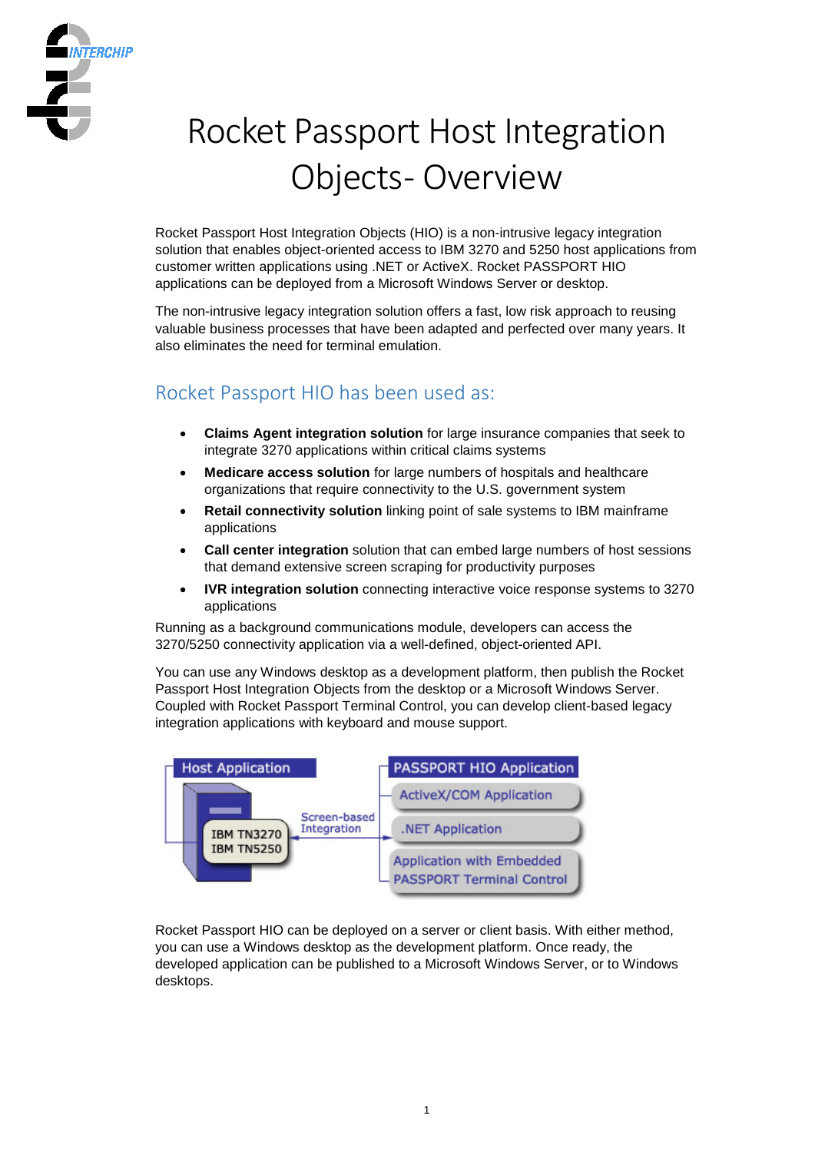

# Rocket Passport Host Integration Objects- Overview

Rocket Passport Host Integration Objects (HIO) is a non-intrusive legacy integration solution that enables object-oriented access to IBM 3270 and 5250 host applications from customer written applications using .NET or ActiveX. Rocket PASSPORT HIO applications can be deployed from a Microsoft Windows Server or desktop.

The non-intrusive legacy integration solution offers a fast, low risk approach to reusing valuable business processes that have been adapted and perfected over many years. It also eliminates the need for terminal emulation.

# Rocket Passport HIO has been used as:

- **Claims Agent integration solution** for large insurance companies that seek to integrate 3270 applications within critical claims systems
- **Medicare access solution** for large numbers of hospitals and healthcare organizations that require connectivity to the U.S. government system
- **Retail connectivity solution** linking point of sale systems to IBM mainframe applications
- **Call center integration** solution that can embed large numbers of host sessions that demand extensive screen scraping for productivity purposes
- **IVR integration solution** connecting interactive voice response systems to 3270 applications

Running as a background communications module, developers can access the 3270/5250 connectivity application via a well-defined, object-oriented API.

You can use any Windows desktop as a development platform, then publish the Rocket Passport Host Integration Objects from the desktop or a Microsoft Windows Server. Coupled with Rocket Passport Terminal Control, you can develop client-based legacy integration applications with keyboard and mouse support.



Rocket Passport HIO can be deployed on a server or client basis. With either method, you can use a Windows desktop as the development platform. Once ready, the developed application can be published to a Microsoft Windows Server, or to Windows desktops.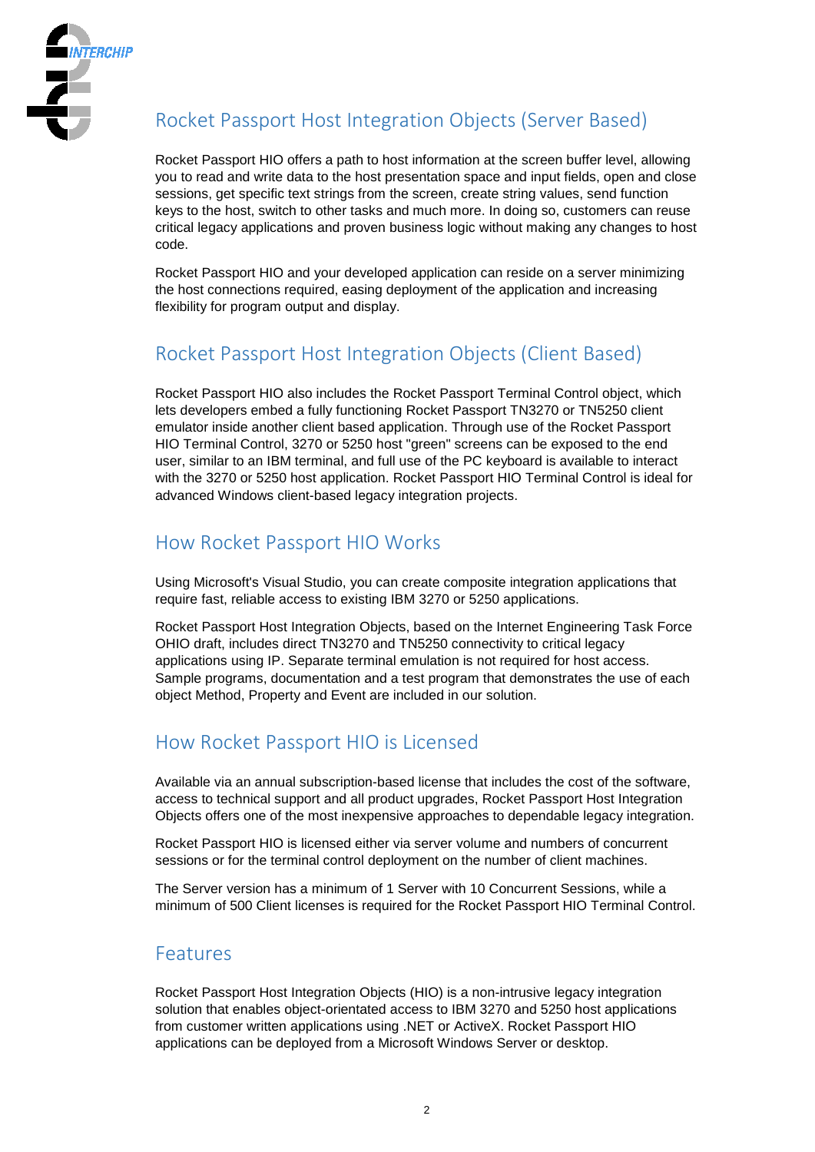

# Rocket Passport Host Integration Objects (Server Based)

Rocket Passport HIO offers a path to host information at the screen buffer level, allowing you to read and write data to the host presentation space and input fields, open and close sessions, get specific text strings from the screen, create string values, send function keys to the host, switch to other tasks and much more. In doing so, customers can reuse critical legacy applications and proven business logic without making any changes to host code.

Rocket Passport HIO and your developed application can reside on a server minimizing the host connections required, easing deployment of the application and increasing flexibility for program output and display.

# Rocket Passport Host Integration Objects (Client Based)

Rocket Passport HIO also includes the Rocket Passport Terminal Control object, which lets developers embed a fully functioning Rocket Passport TN3270 or TN5250 client emulator inside another client based application. Through use of the Rocket Passport HIO Terminal Control, 3270 or 5250 host "green" screens can be exposed to the end user, similar to an IBM terminal, and full use of the PC keyboard is available to interact with the 3270 or 5250 host application. Rocket Passport HIO Terminal Control is ideal for advanced Windows client-based legacy integration projects.

# How Rocket Passport HIO Works

Using Microsoft's Visual Studio, you can create composite integration applications that require fast, reliable access to existing IBM 3270 or 5250 applications.

Rocket Passport Host Integration Objects, based on the Internet Engineering Task Force OHIO draft, includes direct TN3270 and TN5250 connectivity to critical legacy applications using IP. Separate terminal emulation is not required for host access. Sample programs, documentation and a test program that demonstrates the use of each object Method, Property and Event are included in our solution.

# How Rocket Passport HIO is Licensed

Available via an annual subscription-based license that includes the cost of the software, access to technical support and all product upgrades, Rocket Passport Host Integration Objects offers one of the most inexpensive approaches to dependable legacy integration.

Rocket Passport HIO is licensed either via server volume and numbers of concurrent sessions or for the terminal control deployment on the number of client machines.

The Server version has a minimum of 1 Server with 10 Concurrent Sessions, while a minimum of 500 Client licenses is required for the Rocket Passport HIO Terminal Control.

### Features

Rocket Passport Host Integration Objects (HIO) is a non-intrusive legacy integration solution that enables object-orientated access to IBM 3270 and 5250 host applications from customer written applications using .NET or ActiveX. Rocket Passport HIO applications can be deployed from a Microsoft Windows Server or desktop.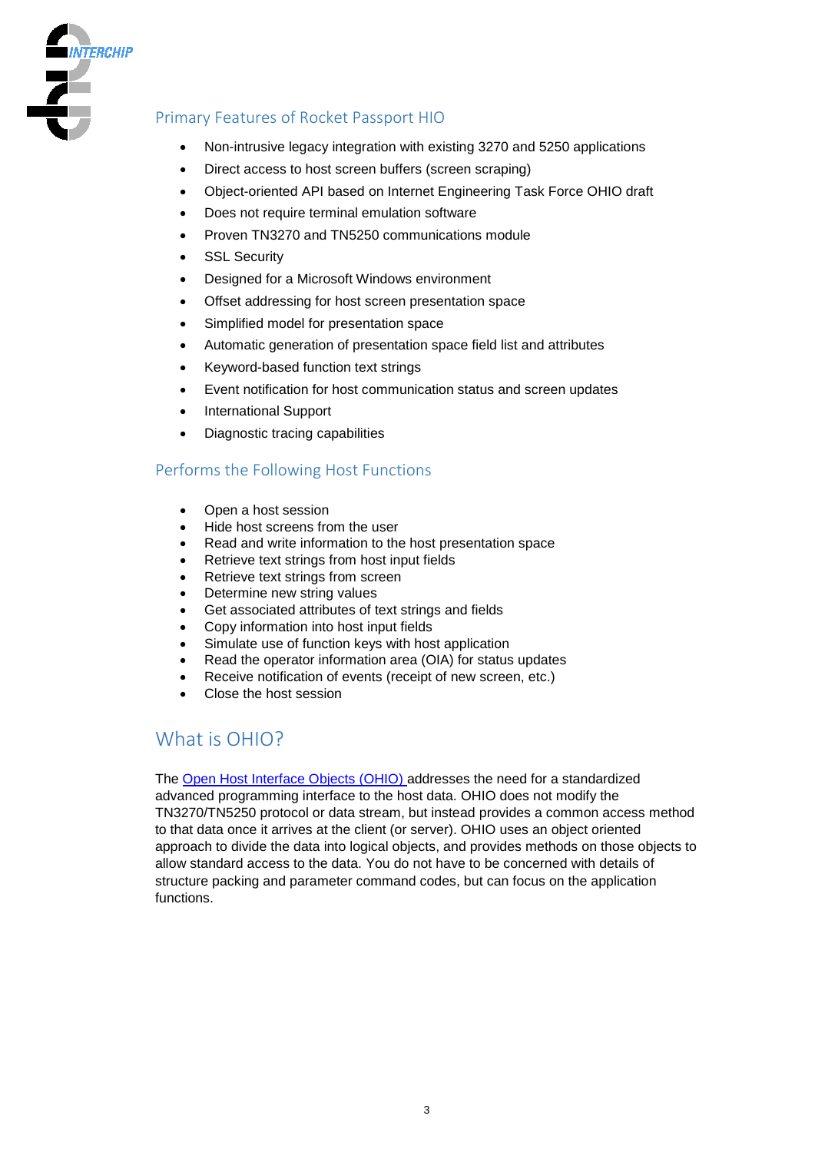

### Primary Features of Rocket Passport HIO

- Non-intrusive legacy integration with existing 3270 and 5250 applications
- Direct access to host screen buffers (screen scraping)
- Object-oriented API based on Internet Engineering Task Force OHIO draft
- Does not require terminal emulation software
- Proven TN3270 and TN5250 communications module
- **SSL Security**
- Designed for a Microsoft Windows environment
- Offset addressing for host screen presentation space
- Simplified model for presentation space
- Automatic generation of presentation space field list and attributes
- Keyword-based function text strings
- Event notification for host communication status and screen updates
- International Support
- Diagnostic tracing capabilities

### Performs the Following Host Functions

- Open a host session
- Hide host screens from the user
- Read and write information to the host presentation space
- Retrieve text strings from host input fields
- Retrieve text strings from screen
- Determine new string values
- Get associated attributes of text strings and fields
- Copy information into host input fields
- Simulate use of function keys with host application
- Read the operator information area (OIA) for status updates
- Receive notification of events (receipt of new screen, etc.)
- Close the host session

# What is OHIO?

The [Open Host Interface Objects \(OHIO\) a](http://tools.ietf.org/id/draft-ietf-tn3270e-ohio-01.txt)ddresses the need for a standardized advanced programming interface to the host data. OHIO does not modify the TN3270/TN5250 protocol or data stream, but instead provides a common access method to that data once it arrives at the client (or server). OHIO uses an object oriented approach to divide the data into logical objects, and provides methods on those objects to allow standard access to the data. You do not have to be concerned with details of structure packing and parameter command codes, but can focus on the application functions.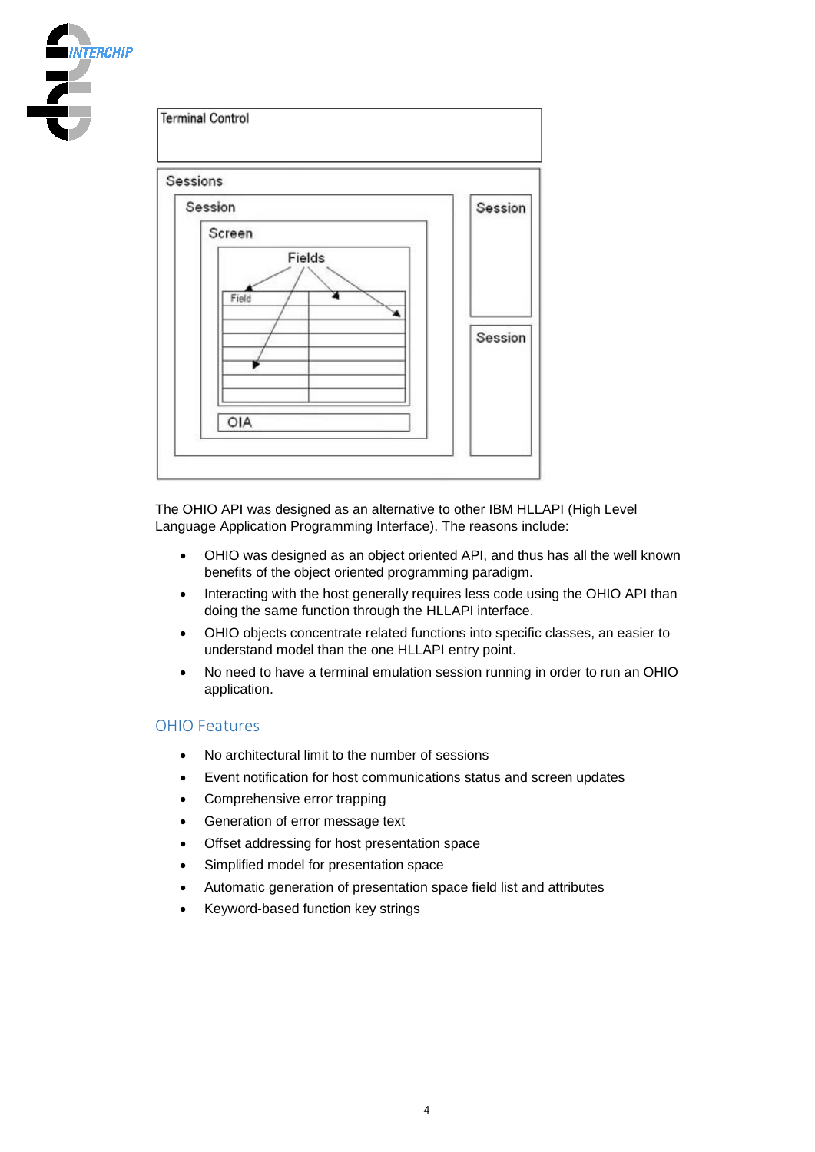



The OHIO API was designed as an alternative to other IBM HLLAPI (High Level Language Application Programming Interface). The reasons include:

- OHIO was designed as an object oriented API, and thus has all the well known benefits of the object oriented programming paradigm.
- Interacting with the host generally requires less code using the OHIO API than doing the same function through the HLLAPI interface.
- OHIO objects concentrate related functions into specific classes, an easier to understand model than the one HLLAPI entry point.
- No need to have a terminal emulation session running in order to run an OHIO application.

#### OHIO Features

- No architectural limit to the number of sessions
- Event notification for host communications status and screen updates
- Comprehensive error trapping
- Generation of error message text
- Offset addressing for host presentation space
- Simplified model for presentation space
- Automatic generation of presentation space field list and attributes
- Keyword-based function key strings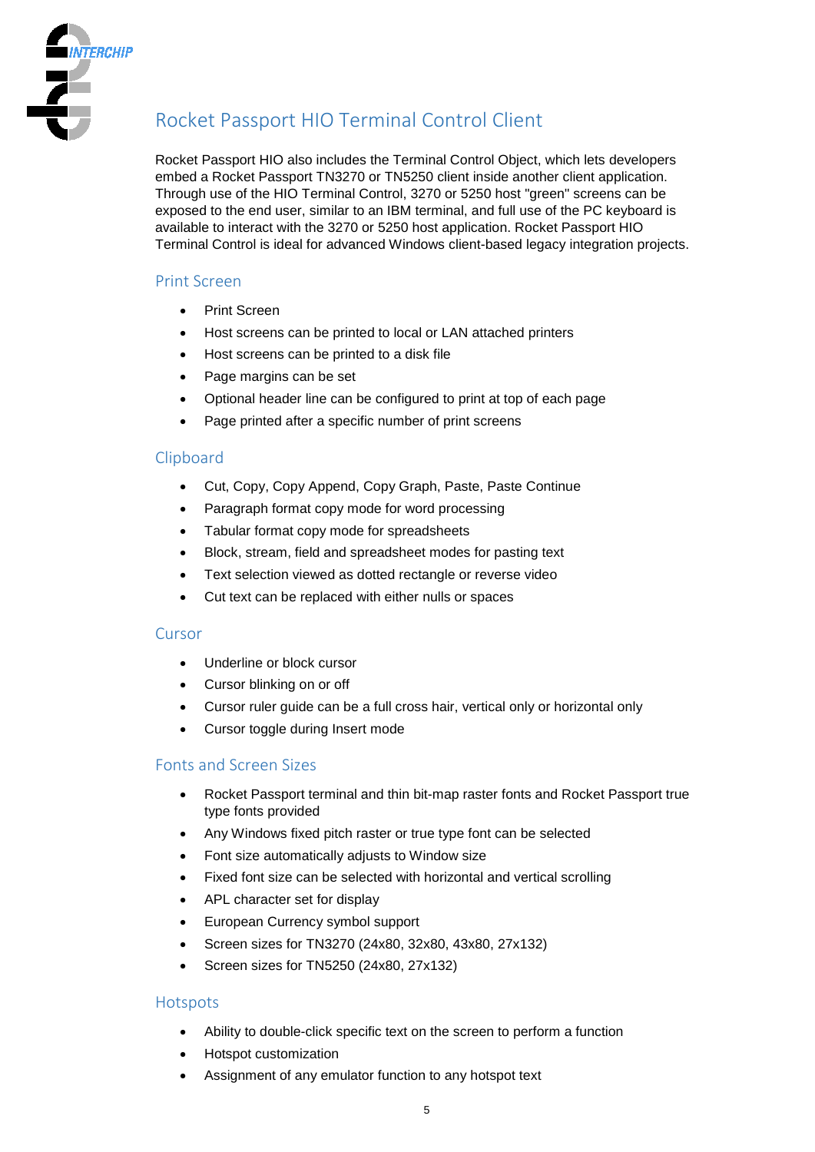

# Rocket Passport HIO Terminal Control Client

Rocket Passport HIO also includes the Terminal Control Object, which lets developers embed a Rocket Passport TN3270 or TN5250 client inside another client application. Through use of the HIO Terminal Control, 3270 or 5250 host "green" screens can be exposed to the end user, similar to an IBM terminal, and full use of the PC keyboard is available to interact with the 3270 or 5250 host application. Rocket Passport HIO Terminal Control is ideal for advanced Windows client-based legacy integration projects.

### Print Screen

- Print Screen
- Host screens can be printed to local or LAN attached printers
- Host screens can be printed to a disk file
- Page margins can be set
- Optional header line can be configured to print at top of each page
- Page printed after a specific number of print screens

### Clipboard

- Cut, Copy, Copy Append, Copy Graph, Paste, Paste Continue
- Paragraph format copy mode for word processing
- Tabular format copy mode for spreadsheets
- Block, stream, field and spreadsheet modes for pasting text
- Text selection viewed as dotted rectangle or reverse video
- Cut text can be replaced with either nulls or spaces

### **Cursor**

- Underline or block cursor
- Cursor blinking on or off
- Cursor ruler guide can be a full cross hair, vertical only or horizontal only
- Cursor toggle during Insert mode

### Fonts and Screen Sizes

- Rocket Passport terminal and thin bit-map raster fonts and Rocket Passport true type fonts provided
- Any Windows fixed pitch raster or true type font can be selected
- Font size automatically adjusts to Window size
- Fixed font size can be selected with horizontal and vertical scrolling
- APL character set for display
- European Currency symbol support
- Screen sizes for TN3270 (24x80, 32x80, 43x80, 27x132)
- Screen sizes for TN5250 (24x80, 27x132)

### **Hotspots**

- Ability to double-click specific text on the screen to perform a function
- Hotspot customization
- Assignment of any emulator function to any hotspot text